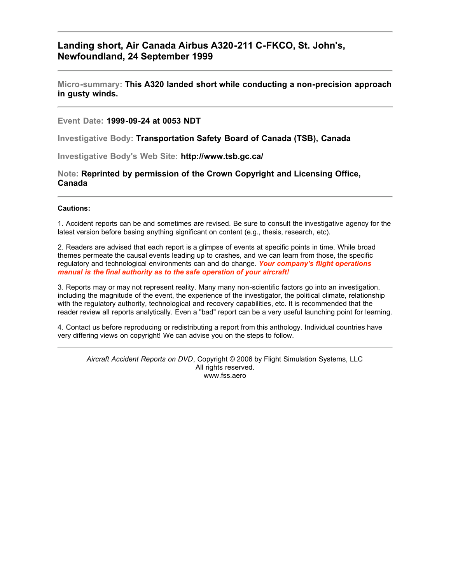### **Landing short, Air Canada Airbus A320-211 C-FKCO, St. John's, Newfoundland, 24 September 1999**

#### **Micro-summary: This A320 landed short while conducting a non-precision approach in gusty winds.**

#### **Event Date: 1999-09-24 at 0053 NDT**

**Investigative Body: Transportation Safety Board of Canada (TSB), Canada**

**Investigative Body's Web Site: http://www.tsb.gc.ca/**

**Note: Reprinted by permission of the Crown Copyright and Licensing Office, Canada**

#### **Cautions:**

1. Accident reports can be and sometimes are revised. Be sure to consult the investigative agency for the latest version before basing anything significant on content (e.g., thesis, research, etc).

2. Readers are advised that each report is a glimpse of events at specific points in time. While broad themes permeate the causal events leading up to crashes, and we can learn from those, the specific regulatory and technological environments can and do change. *Your company's flight operations manual is the final authority as to the safe operation of your aircraft!*

3. Reports may or may not represent reality. Many many non-scientific factors go into an investigation, including the magnitude of the event, the experience of the investigator, the political climate, relationship with the regulatory authority, technological and recovery capabilities, etc. It is recommended that the reader review all reports analytically. Even a "bad" report can be a very useful launching point for learning.

4. Contact us before reproducing or redistributing a report from this anthology. Individual countries have very differing views on copyright! We can advise you on the steps to follow.

*Aircraft Accident Reports on DVD*, Copyright © 2006 by Flight Simulation Systems, LLC All rights reserved. www.fss.aero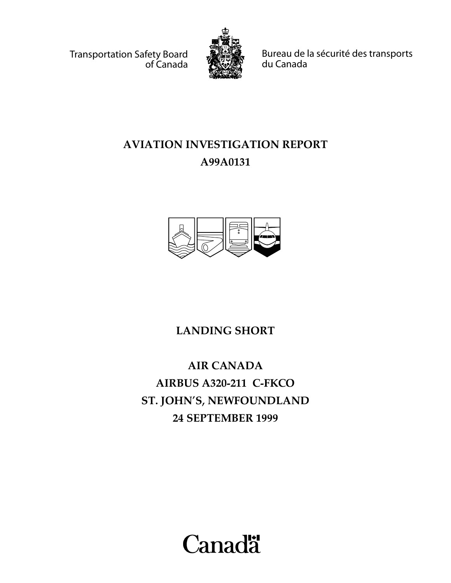Transportation Safety Board of Canada



Bureau de la sécurité des transports du Canada

# **AVIATION INVESTIGATION REPORT A99A0131**



**LANDING SHORT**

**AIR CANADA AIRBUS A320-211 C-FKCO ST. JOHN'S, NEWFOUNDLAND 24 SEPTEMBER 1999**

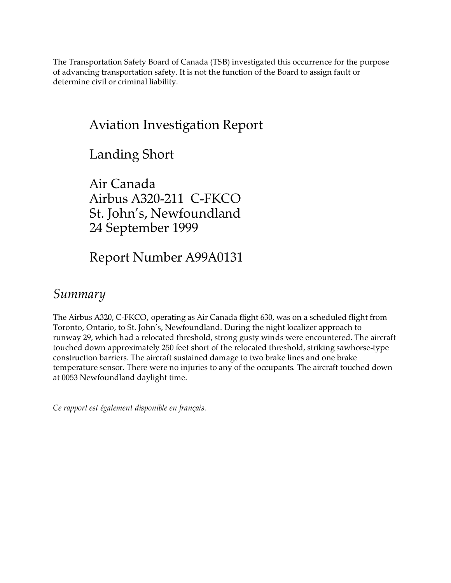The Transportation Safety Board of Canada (TSB) investigated this occurrence for the purpose of advancing transportation safety. It is not the function of the Board to assign fault or determine civil or criminal liability.

### Aviation Investigation Report

Landing Short

Air Canada Airbus A320-211 C-FKCO St. John's, Newfoundland 24 September 1999

Report Number A99A0131

### *Summary*

The Airbus A320, C-FKCO, operating as Air Canada flight 630, was on a scheduled flight from Toronto, Ontario, to St. John's, Newfoundland. During the night localizer approach to runway 29, which had a relocated threshold, strong gusty winds were encountered. The aircraft touched down approximately 250 feet short of the relocated threshold, striking sawhorse-type construction barriers. The aircraft sustained damage to two brake lines and one brake temperature sensor. There were no injuries to any of the occupants. The aircraft touched down at 0053 Newfoundland daylight time.

*Ce rapport est également disponible en français*.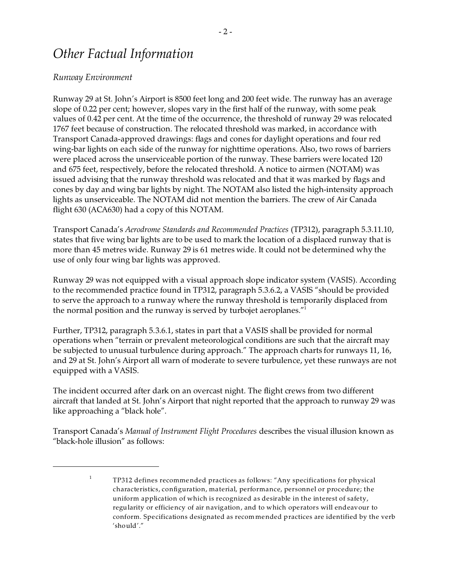### *Other Factual Information*

#### *Runway Environment*

1

Runway 29 at St. John's Airport is 8500 feet long and 200 feet wide. The runway has an average slope of 0.22 per cent; however, slopes vary in the first half of the runway, with some peak values of 0.42 per cent. At the time of the occurrence, the threshold of runway 29 was relocated 1767 feet because of construction. The relocated threshold was marked, in accordance with Transport Canada-approved drawings: flags and cones for daylight operations and four red wing-bar lights on each side of the runway for nighttime operations. Also, two rows of barriers were placed across the unserviceable portion of the runway. These barriers were located 120 and 675 feet, respectively, before the relocated threshold. A notice to airmen (NOTAM) was issued advising that the runway threshold was relocated and that it was marked by flags and cones by day and wing bar lights by night. The NOTAM also listed the high-intensity approach lights as unserviceable. The NOTAM did not mention the barriers. The crew of Air Canada flight 630 (ACA630) had a copy of this NOTAM.

Transport Canada's *Aerodrome Standards and Recommended Practices* (TP312), paragraph 5.3.11.10, states that five wing bar lights are to be used to mark the location of a displaced runway that is more than 45 metres wide. Runway 29 is 61 metres wide. It could not be determined why the use of only four wing bar lights was approved.

Runway 29 was not equipped with a visual approach slope indicator system (VASIS). According to the recommended practice found in TP312, paragraph 5.3.6.2, a VASIS "should be provided to serve the approach to a runway where the runway threshold is temporarily displaced from the normal position and the runway is served by turbojet aeroplanes."<sup>1</sup>

Further, TP312, paragraph 5.3.6.1, states in part that a VASIS shall be provided for normal operations when "terrain or prevalent meteorological conditions are such that the aircraft may be subjected to unusual turbulence during approach." The approach charts for runways 11, 16, and 29 at St. John's Airport all warn of moderate to severe turbulence, yet these runways are not equipped with a VASIS.

The incident occurred after dark on an overcast night. The flight crews from two different aircraft that landed at St. John's Airport that night reported that the approach to runway 29 was like approaching a "black hole".

Transport Canada's *Manual of Instrument Flight Procedures* describes the visual illusion known as "black-hole illusion" as follows:

TP312 defines recommended practices as follows: "Any specifications for physical characteristics, configuration, material, performance, personnel or procedure; the uniform application of which is recognized as desirable in the interest of safety, regularity or efficiency of air navigation, and to which operators will endeavour to conform. Specifications designated as recommended practices are identified by the verb  $\sinh^{-n}$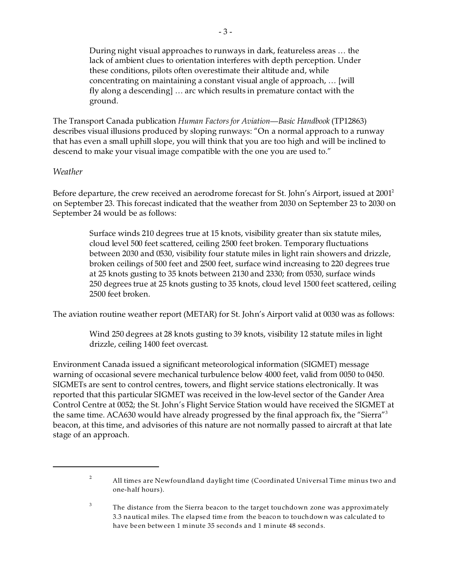During night visual approaches to runways in dark, featureless areas … the lack of ambient clues to orientation interferes with depth perception. Under these conditions, pilots often overestimate their altitude and, while concentrating on maintaining a constant visual angle of approach, … [will fly along a descending] … arc which results in premature contact with the ground.

The Transport Canada publication *Human Factors for Aviation—Basic Handbook* (TP12863) describes visual illusions produced by sloping runways: "On a normal approach to a runway that has even a small uphill slope, you will think that you are too high and will be inclined to descend to make your visual image compatible with the one you are used to."

#### *Weather*

Before departure, the crew received an aerodrome forecast for St. John's Airport, issued at 2001<sup>2</sup> on September 23. This forecast indicated that the weather from 2030 on September 23 to 2030 on September 24 would be as follows:

> Surface winds 210 degrees true at 15 knots, visibility greater than six statute miles, cloud level 500 feet scattered, ceiling 2500 feet broken. Temporary fluctuations between 2030 and 0530, visibility four statute miles in light rain showers and drizzle, broken ceilings of 500 feet and 2500 feet, surface wind increasing to 220 degrees true at 25 knots gusting to 35 knots between 2130 and 2330; from 0530, surface winds 250 degrees true at 25 knots gusting to 35 knots, cloud level 1500 feet scattered, ceiling 2500 feet broken.

The aviation routine weather report (METAR) for St. John's Airport valid at 0030 was as follows:

Wind 250 degrees at 28 knots gusting to 39 knots, visibility 12 statute miles in light drizzle, ceiling 1400 feet overcast.

Environment Canada issued a significant meteorological information (SIGMET) message warning of occasional severe mechanical turbulence below 4000 feet, valid from 0050 to 0450. SIGMETs are sent to control centres, towers, and flight service stations electronically. It was reported that this particular SIGMET was received in the low-level sector of the Gander Area Control Centre at 0052; the St. John's Flight Service Station would have received the SIGMET at the same time. ACA630 would have already progressed by the final approach fix, the "Sierra"<sup>3</sup> beacon, at this time, and advisories of this nature are not normally passed to aircraft at that late stage of an approach.

 $2<sup>2</sup>$ All times are Newfoundland daylight time (Coordinated Universal Time minus two and one-half hours).

<sup>3</sup> The distance from the Sierra beacon to the target touchdown zone was approximately 3.3 nautical miles. The elapsed time from the beacon to touchdown was calculated to have been between 1 minute 35 seconds and 1 minute 48 seconds.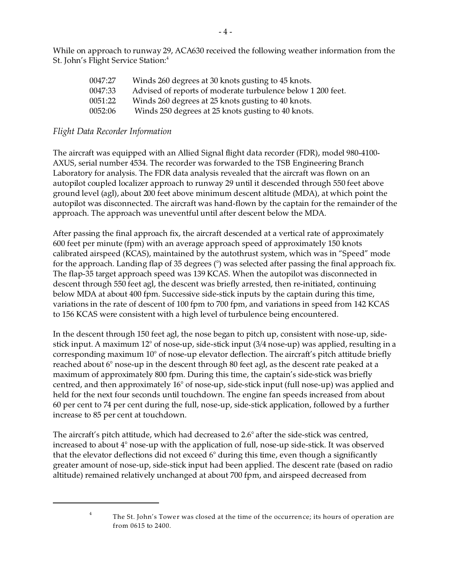While on approach to runway 29, ACA630 received the following weather information from the St. John's Flight Service Station: 4

| 0047:27 | Winds 260 degrees at 30 knots gusting to 45 knots.          |
|---------|-------------------------------------------------------------|
| 0047:33 | Advised of reports of moderate turbulence below 1 200 feet. |
| 0051:22 | Winds 260 degrees at 25 knots gusting to 40 knots.          |
| 0052:06 | Winds 250 degrees at 25 knots gusting to 40 knots.          |

#### *Flight Data Recorder Information*

The aircraft was equipped with an Allied Signal flight data recorder (FDR), model 980-4100- AXUS, serial number 4534. The recorder was forwarded to the TSB Engineering Branch Laboratory for analysis. The FDR data analysis revealed that the aircraft was flown on an autopilot coupled localizer approach to runway 29 until it descended through 550 feet above ground level (agl), about 200 feet above minimum descent altitude (MDA), at which point the autopilot was disconnected. The aircraft was hand-flown by the captain for the remainder of the approach. The approach was uneventful until after descent below the MDA.

After passing the final approach fix, the aircraft descended at a vertical rate of approximately 600 feet per minute (fpm) with an average approach speed of approximately 150 knots calibrated airspeed (KCAS), maintained by the autothrust system, which was in "Speed" mode for the approach. Landing flap of 35 degrees (°) was selected after passing the final approach fix. The flap-35 target approach speed was 139 KCAS. When the autopilot was disconnected in descent through 550 feet agl, the descent was briefly arrested, then re-initiated, continuing below MDA at about 400 fpm. Successive side-stick inputs by the captain during this time, variations in the rate of descent of 100 fpm to 700 fpm, and variations in speed from 142 KCAS to 156 KCAS were consistent with a high level of turbulence being encountered.

In the descent through 150 feet agl, the nose began to pitch up, consistent with nose-up, sidestick input. A maximum 12° of nose-up, side-stick input (3/4 nose-up) was applied, resulting in a corresponding maximum 10° of nose-up elevator deflection. The aircraft's pitch attitude briefly reached about 6° nose-up in the descent through 80 feet agl, as the descent rate peaked at a maximum of approximately 800 fpm. During this time, the captain's side-stick was briefly centred, and then approximately 16° of nose-up, side-stick input (full nose-up) was applied and held for the next four seconds until touchdown. The engine fan speeds increased from about 60 per cent to 74 per cent during the full, nose-up, side-stick application, followed by a further increase to 85 per cent at touchdown.

The aircraft's pitch attitude, which had decreased to 2.6° after the side-stick was centred, increased to about 4° nose-up with the application of full, nose-up side-stick. It was observed that the elevator deflections did not exceed 6° during this time, even though a significantly greater amount of nose-up, side-stick input had been applied. The descent rate (based on radio altitude) remained relatively unchanged at about 700 fpm, and airspeed decreased from

<sup>4</sup>

The St. John's Tower was closed at the time of the occurrence; its hours of operation are from 0615 to 2400.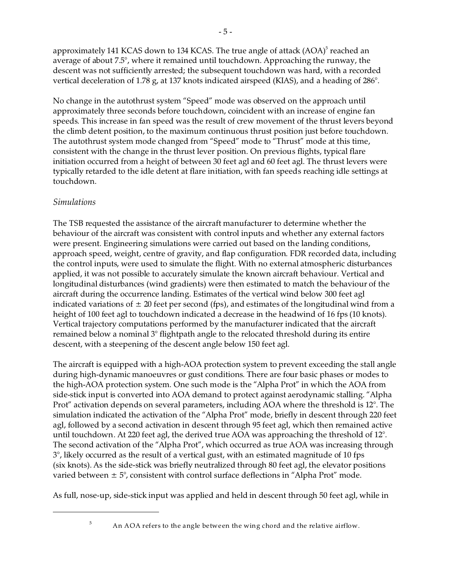approximately 141 KCAS down to 134 KCAS. The true angle of attack (AOA) $^5$  reached an average of about 7.5°, where it remained until touchdown. Approaching the runway, the descent was not sufficiently arrested; the subsequent touchdown was hard, with a recorded vertical deceleration of 1.78 g, at 137 knots indicated airspeed (KIAS), and a heading of 286°.

No change in the autothrust system "Speed" mode was observed on the approach until approximately three seconds before touchdown, coincident with an increase of engine fan speeds. This increase in fan speed was the result of crew movement of the thrust levers beyond the climb detent position, to the maximum continuous thrust position just before touchdown. The autothrust system mode changed from "Speed" mode to "Thrust" mode at this time, consistent with the change in the thrust lever position. On previous flights, typical flare initiation occurred from a height of between 30 feet agl and 60 feet agl. The thrust levers were typically retarded to the idle detent at flare initiation, with fan speeds reaching idle settings at touchdown.

### *Simulations*

The TSB requested the assistance of the aircraft manufacturer to determine whether the behaviour of the aircraft was consistent with control inputs and whether any external factors were present. Engineering simulations were carried out based on the landing conditions, approach speed, weight, centre of gravity, and flap configuration. FDR recorded data, including the control inputs, were used to simulate the flight. With no external atmospheric disturbances applied, it was not possible to accurately simulate the known aircraft behaviour. Vertical and longitudinal disturbances (wind gradients) were then estimated to match the behaviour of the aircraft during the occurrence landing. Estimates of the vertical wind below 300 feet agl indicated variations of  $\pm 20$  feet per second (fps), and estimates of the longitudinal wind from a height of 100 feet agl to touchdown indicated a decrease in the headwind of 16 fps (10 knots). Vertical trajectory computations performed by the manufacturer indicated that the aircraft remained below a nominal 3° flightpath angle to the relocated threshold during its entire descent, with a steepening of the descent angle below 150 feet agl.

The aircraft is equipped with a high-AOA protection system to prevent exceeding the stall angle during high-dynamic manoeuvres or gust conditions. There are four basic phases or modes to the high-AOA protection system. One such mode is the "Alpha Prot" in which the AOA from side-stick input is converted into AOA demand to protect against aerodynamic stalling. "Alpha Prot" activation depends on several parameters, including AOA where the threshold is 12°. The simulation indicated the activation of the "Alpha Prot" mode, briefly in descent through 220 feet agl, followed by a second activation in descent through 95 feet agl, which then remained active until touchdown. At 220 feet agl, the derived true AOA was approaching the threshold of 12°. The second activation of the "Alpha Prot", which occurred as true AOA was increasing through 3°, likely occurred as the result of a vertical gust, with an estimated magnitude of 10 fps (six knots). As the side-stick was briefly neutralized through 80 feet agl, the elevator positions varied between  $\pm 5^{\circ}$ , consistent with control surface deflections in "Alpha Prot" mode.

As full, nose-up, side-stick input was applied and held in descent through 50 feet agl, while in

5

An AOA refers to the angle between the wing chord and the relative airflow.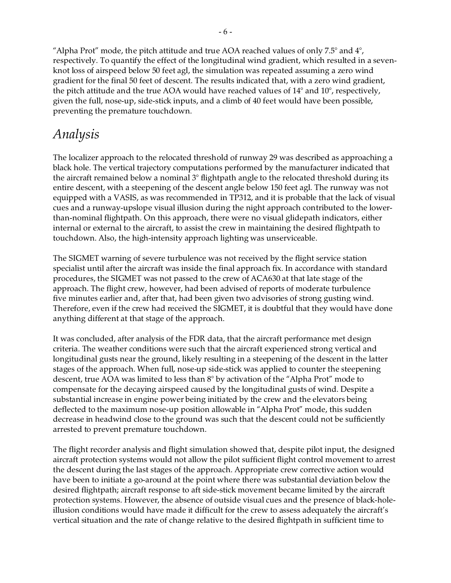"Alpha Prot" mode, the pitch attitude and true AOA reached values of only 7.5 $^{\circ}$  and 4 $^{\circ}$ , respectively. To quantify the effect of the longitudinal wind gradient, which resulted in a sevenknot loss of airspeed below 50 feet agl, the simulation was repeated assuming a zero wind gradient for the final 50 feet of descent. The results indicated that, with a zero wind gradient, the pitch attitude and the true AOA would have reached values of 14° and 10°, respectively, given the full, nose-up, side-stick inputs, and a climb of 40 feet would have been possible, preventing the premature touchdown.

### *Analysis*

The localizer approach to the relocated threshold of runway 29 was described as approaching a black hole. The vertical trajectory computations performed by the manufacturer indicated that the aircraft remained below a nominal  $3^\circ$  flightpath angle to the relocated threshold during its entire descent, with a steepening of the descent angle below 150 feet agl. The runway was not equipped with a VASIS, as was recommended in TP312, and it is probable that the lack of visual cues and a runway-upslope visual illusion during the night approach contributed to the lowerthan-nominal flightpath. On this approach, there were no visual glidepath indicators, either internal or external to the aircraft, to assist the crew in maintaining the desired flightpath to touchdown. Also, the high-intensity approach lighting was unserviceable.

The SIGMET warning of severe turbulence was not received by the flight service station specialist until after the aircraft was inside the final approach fix. In accordance with standard procedures, the SIGMET was not passed to the crew of ACA630 at that late stage of the approach. The flight crew, however, had been advised of reports of moderate turbulence five minutes earlier and, after that, had been given two advisories of strong gusting wind. Therefore, even if the crew had received the SIGMET, it is doubtful that they would have done anything different at that stage of the approach.

It was concluded, after analysis of the FDR data, that the aircraft performance met design criteria. The weather conditions were such that the aircraft experienced strong vertical and longitudinal gusts near the ground, likely resulting in a steepening of the descent in the latter stages of the approach. When full, nose-up side-stick was applied to counter the steepening descent, true AOA was limited to less than 8° by activation of the "Alpha Prot" mode to compensate for the decaying airspeed caused by the longitudinal gusts of wind. Despite a substantial increase in engine power being initiated by the crew and the elevators being deflected to the maximum nose-up position allowable in "Alpha Prot" mode, this sudden decrease in headwind close to the ground was such that the descent could not be sufficiently arrested to prevent premature touchdown.

The flight recorder analysis and flight simulation showed that, despite pilot input, the designed aircraft protection systems would not allow the pilot sufficient flight control movement to arrest the descent during the last stages of the approach. Appropriate crew corrective action would have been to initiate a go-around at the point where there was substantial deviation below the desired flightpath; aircraft response to aft side-stick movement became limited by the aircraft protection systems. However, the absence of outside visual cues and the presence of black-holeillusion conditions would have made it difficult for the crew to assess adequately the aircraft's vertical situation and the rate of change relative to the desired flightpath in sufficient time to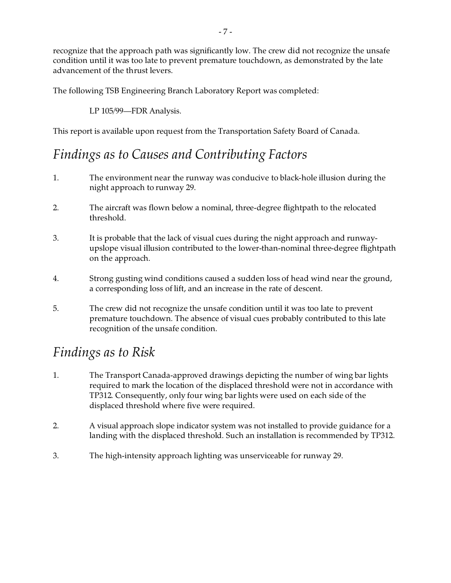recognize that the approach path was significantly low. The crew did not recognize the unsafe condition until it was too late to prevent premature touchdown, as demonstrated by the late advancement of the thrust levers.

The following TSB Engineering Branch Laboratory Report was completed:

LP 105/99—FDR Analysis.

This report is available upon request from the Transportation Safety Board of Canada.

## *Findings as to Causes and Contributing Factors*

- 1. The environment near the runway was conducive to black-hole illusion during the night approach to runway 29.
- 2. The aircraft was flown below a nominal, three-degree flightpath to the relocated threshold.
- 3. It is probable that the lack of visual cues during the night approach and runwayupslope visual illusion contributed to the lower-than-nominal three-degree flightpath on the approach.
- 4. Strong gusting wind conditions caused a sudden loss of head wind near the ground, a corresponding loss of lift, and an increase in the rate of descent.
- 5. The crew did not recognize the unsafe condition until it was too late to prevent premature touchdown. The absence of visual cues probably contributed to this late recognition of the unsafe condition.

## *Findings as to Risk*

- 1. The Transport Canada-approved drawings depicting the number of wing bar lights required to mark the location of the displaced threshold were not in accordance with TP312. Consequently, only four wing bar lights were used on each side of the displaced threshold where five were required.
- 2. A visual approach slope indicator system was not installed to provide guidance for a landing with the displaced threshold. Such an installation is recommended by TP312.
- 3. The high-intensity approach lighting was unserviceable for runway 29.